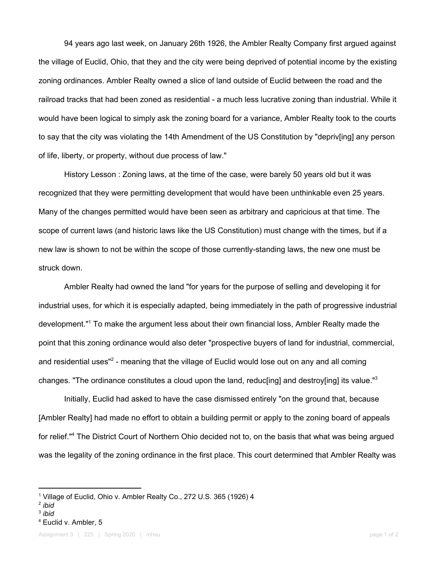94 years ago last week, on January 26th 1926, the Ambler Realty Company first argued against the village of Euclid, Ohio, that they and the city were being deprived of potential income by the existing zoning ordinances. Ambler Realty owned a slice of land outside of Euclid between the road and the railroad tracks that had been zoned as residential - a much less lucrative zoning than industrial. While it would have been logical to simply ask the zoning board for a variance, Ambler Realty took to the courts to say that the city was violating the 14th Amendment of the US Constitution by "depriv[ing] any person of life, liberty, or property, without due process of law."

History Lesson : Zoning laws, at the time of the case, were barely 50 years old but it was recognized that they were permitting development that would have been unthinkable even 25 years. Many of the changes permitted would have been seen as arbitrary and capricious at that time. The scope of current laws (and historic laws like the US Constitution) must change with the times, but if a new law is shown to not be within the scope of those currently-standing laws, the new one must be struck down.

Ambler Realty had owned the land "for years for the purpose of selling and developing it for industrial uses, for which it is especially adapted, being immediately in the path of progressive industrial development."<sup>1</sup> To make the argument less about their own financial loss, Ambler Realty made the point that this zoning ordinance would also deter "prospective buyers of land for industrial, commercial, and residential uses"<sup>2</sup> - meaning that the village of Euclid would lose out on any and all coming changes. "The ordinance constitutes a cloud upon the land, reduc[ing] and destroy[ing] its value."<sup>3</sup>

Initially, Euclid had asked to have the case dismissed entirely "on the ground that, because [Ambler Realty] had made no effort to obtain a building permit or apply to the zoning board of appeals for relief."<sup>4</sup> The District Court of Northern Ohio decided not to, on the basis that what was being argued was the legality of the zoning ordinance in the first place. This court determined that Ambler Realty was

- 3 *ibid*
- <sup>4</sup> Euclid v. Ambler, 5

<sup>&</sup>lt;sup>1</sup> Village of Euclid, Ohio v. Ambler Realty Co., 272 U.S. 365 (1926) 4

<sup>2</sup> *ibid*